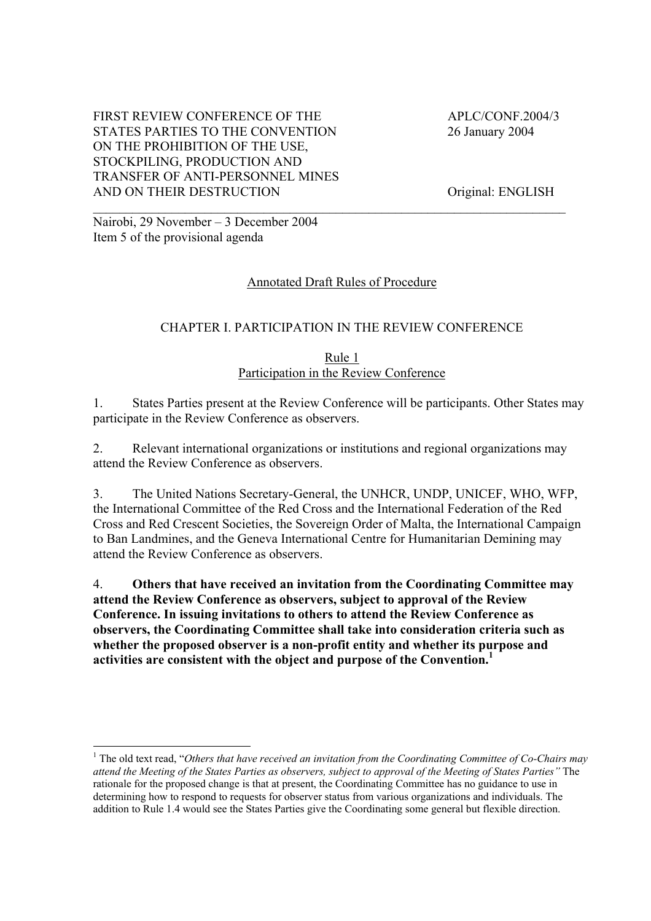### FIRST REVIEW CONFERENCE OF THE  $APLC/CONF 2004/3$ STATES PARTIES TO THE CONVENTION 26 January 2004 ON THE PROHIBITION OF THE USE, STOCKPILING, PRODUCTION AND TRANSFER OF ANTI-PERSONNEL MINES AND ON THEIR DESTRUCTION Original: ENGLISH

Nairobi, 29 November – 3 December 2004 Item 5 of the provisional agenda

 $\overline{a}$ 

## Annotated Draft Rules of Procedure

 $\_$  , and the contribution of the contribution of  $\mathcal{L}_\mathcal{A}$  , and the contribution of  $\mathcal{L}_\mathcal{A}$ 

# CHAPTER I. PARTICIPATION IN THE REVIEW CONFERENCE

## Rule 1 Participation in the Review Conference

1. States Parties present at the Review Conference will be participants. Other States may participate in the Review Conference as observers.

2. Relevant international organizations or institutions and regional organizations may attend the Review Conference as observers.

3. The United Nations Secretary-General, the UNHCR, UNDP, UNICEF, WHO, WFP, the International Committee of the Red Cross and the International Federation of the Red Cross and Red Crescent Societies, the Sovereign Order of Malta, the International Campaign to Ban Landmines, and the Geneva International Centre for Humanitarian Demining may attend the Review Conference as observers.

4. **Others that have received an invitation from the Coordinating Committee may attend the Review Conference as observers, subject to approval of the Review Conference. In issuing invitations to others to attend the Review Conference as observers, the Coordinating Committee shall take into consideration criteria such as whether the proposed observer is a non-profit entity and whether its purpose and activities are consistent with the object and purpose of the Convention.<sup>1</sup>**

<sup>&</sup>lt;sup>1</sup> The old text read, "Others that have received an invitation from the Coordinating Committee of Co-Chairs may *attend the Meeting of the States Parties as observers, subject to approval of the Meeting of States Parties"* The rationale for the proposed change is that at present, the Coordinating Committee has no guidance to use in determining how to respond to requests for observer status from various organizations and individuals. The addition to Rule 1.4 would see the States Parties give the Coordinating some general but flexible direction.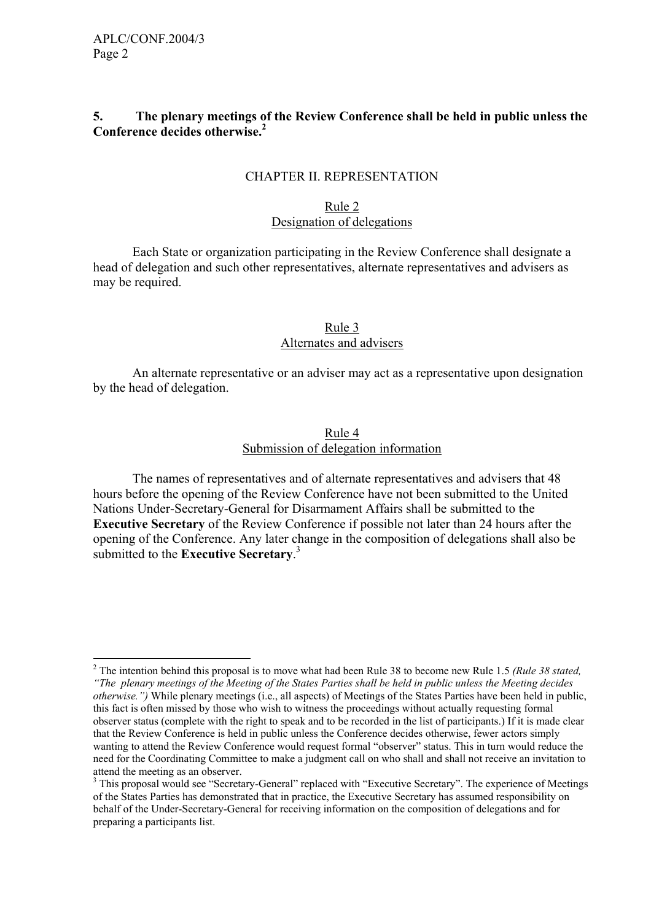$\overline{a}$ 

# **5. The plenary meetings of the Review Conference shall be held in public unless the Conference decides otherwise.2**

#### CHAPTER II. REPRESENTATION

#### Rule 2 Designation of delegations

Each State or organization participating in the Review Conference shall designate a head of delegation and such other representatives, alternate representatives and advisers as may be required.

# Rule 3 Alternates and advisers

An alternate representative or an adviser may act as a representative upon designation by the head of delegation.

#### Rule 4 Submission of delegation information

 The names of representatives and of alternate representatives and advisers that 48 hours before the opening of the Review Conference have not been submitted to the United Nations Under-Secretary-General for Disarmament Affairs shall be submitted to the **Executive Secretary** of the Review Conference if possible not later than 24 hours after the opening of the Conference. Any later change in the composition of delegations shall also be submitted to the **Executive Secretary**. 3

<sup>2</sup> The intention behind this proposal is to move what had been Rule 38 to become new Rule 1.5 *(Rule 38 stated, "The plenary meetings of the Meeting of the States Parties shall be held in public unless the Meeting decides otherwise.")* While plenary meetings (i.e., all aspects) of Meetings of the States Parties have been held in public, this fact is often missed by those who wish to witness the proceedings without actually requesting formal observer status (complete with the right to speak and to be recorded in the list of participants.) If it is made clear that the Review Conference is held in public unless the Conference decides otherwise, fewer actors simply wanting to attend the Review Conference would request formal "observer" status. This in turn would reduce the need for the Coordinating Committee to make a judgment call on who shall and shall not receive an invitation to attend the meeting as an observer.

<sup>&</sup>lt;sup>3</sup> This proposal would see "Secretary-General" replaced with "Executive Secretary". The experience of Meetings of the States Parties has demonstrated that in practice, the Executive Secretary has assumed responsibility on behalf of the Under-Secretary-General for receiving information on the composition of delegations and for preparing a participants list.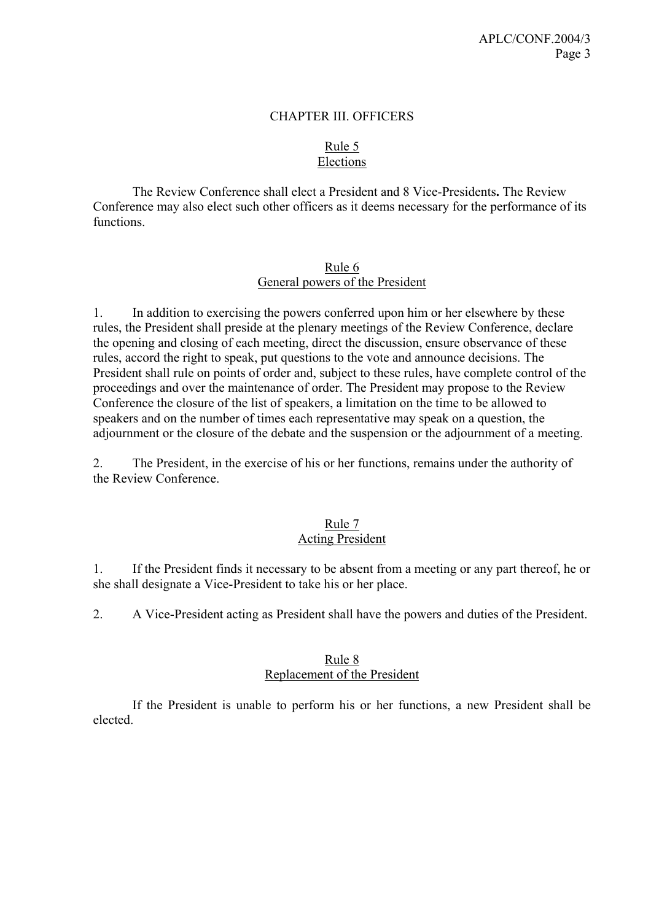#### CHAPTER III. OFFICERS

#### Rule 5 Elections

The Review Conference shall elect a President and 8 Vice-Presidents**.** The Review Conference may also elect such other officers as it deems necessary for the performance of its functions.

#### Rule 6 General powers of the President

1. In addition to exercising the powers conferred upon him or her elsewhere by these rules, the President shall preside at the plenary meetings of the Review Conference, declare the opening and closing of each meeting, direct the discussion, ensure observance of these rules, accord the right to speak, put questions to the vote and announce decisions. The President shall rule on points of order and, subject to these rules, have complete control of the proceedings and over the maintenance of order. The President may propose to the Review Conference the closure of the list of speakers, a limitation on the time to be allowed to speakers and on the number of times each representative may speak on a question, the adjournment or the closure of the debate and the suspension or the adjournment of a meeting.

2. The President, in the exercise of his or her functions, remains under the authority of the Review Conference.

# Rule 7

## Acting President

1. If the President finds it necessary to be absent from a meeting or any part thereof, he or she shall designate a Vice-President to take his or her place.

2. A Vice-President acting as President shall have the powers and duties of the President.

#### Rule 8 Replacement of the President

If the President is unable to perform his or her functions, a new President shall be elected.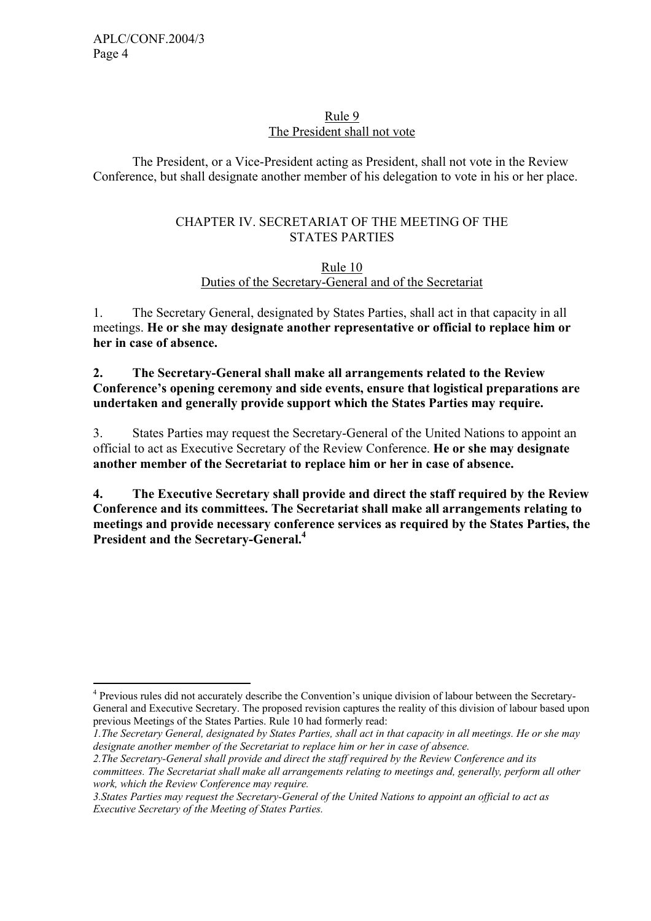$\overline{a}$ 

# Rule 9 The President shall not vote

The President, or a Vice-President acting as President, shall not vote in the Review Conference, but shall designate another member of his delegation to vote in his or her place.

## CHAPTER IV. SECRETARIAT OF THE MEETING OF THE STATES PARTIES

### Rule 10 Duties of the Secretary-General and of the Secretariat

1. The Secretary General, designated by States Parties, shall act in that capacity in all meetings. **He or she may designate another representative or official to replace him or her in case of absence.** 

**2. The Secretary-General shall make all arrangements related to the Review Conference's opening ceremony and side events, ensure that logistical preparations are undertaken and generally provide support which the States Parties may require.** 

3. States Parties may request the Secretary-General of the United Nations to appoint an official to act as Executive Secretary of the Review Conference. **He or she may designate another member of the Secretariat to replace him or her in case of absence.** 

**4. The Executive Secretary shall provide and direct the staff required by the Review Conference and its committees. The Secretariat shall make all arrangements relating to meetings and provide necessary conference services as required by the States Parties, the President and the Secretary-General.4**

<sup>&</sup>lt;sup>4</sup> Previous rules did not accurately describe the Convention's unique division of labour between the Secretary-General and Executive Secretary. The proposed revision captures the reality of this division of labour based upon previous Meetings of the States Parties. Rule 10 had formerly read:

*<sup>1.</sup>The Secretary General, designated by States Parties, shall act in that capacity in all meetings. He or she may designate another member of the Secretariat to replace him or her in case of absence.* 

*<sup>2.</sup>The Secretary-General shall provide and direct the staff required by the Review Conference and its committees. The Secretariat shall make all arrangements relating to meetings and, generally, perform all other work, which the Review Conference may require.* 

*<sup>3.</sup>States Parties may request the Secretary-General of the United Nations to appoint an official to act as Executive Secretary of the Meeting of States Parties.*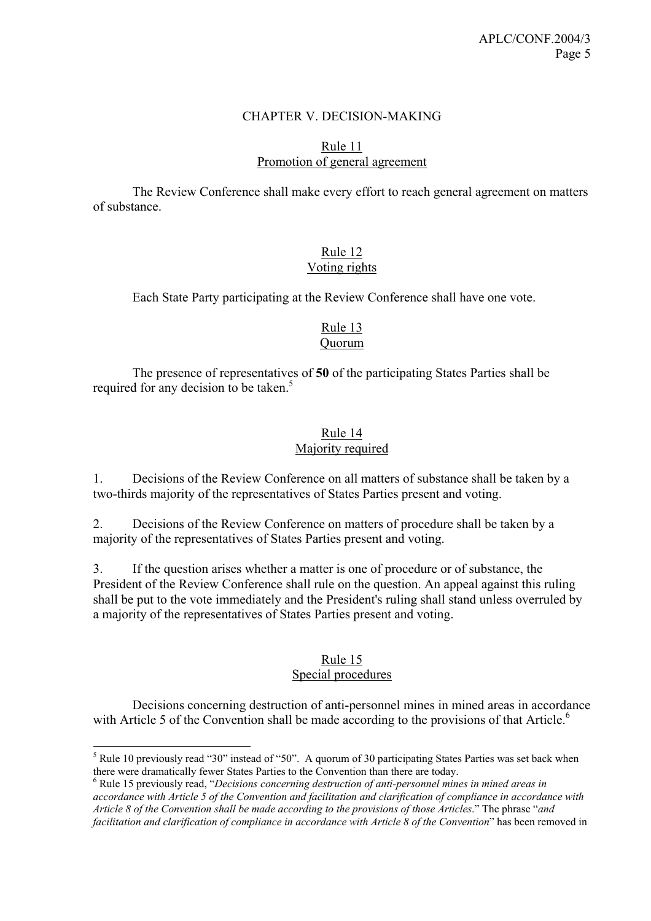## CHAPTER V. DECISION-MAKING

#### Rule 11 Promotion of general agreement

The Review Conference shall make every effort to reach general agreement on matters of substance.

### Rule 12 Voting rights

Each State Party participating at the Review Conference shall have one vote.

#### Rule 13 Quorum

 The presence of representatives of **50** of the participating States Parties shall be required for any decision to be taken.<sup>5</sup>

#### Rule 14 Majority required

1. Decisions of the Review Conference on all matters of substance shall be taken by a two-thirds majority of the representatives of States Parties present and voting.

2. Decisions of the Review Conference on matters of procedure shall be taken by a majority of the representatives of States Parties present and voting.

3. If the question arises whether a matter is one of procedure or of substance, the President of the Review Conference shall rule on the question. An appeal against this ruling shall be put to the vote immediately and the President's ruling shall stand unless overruled by a majority of the representatives of States Parties present and voting.

# Rule 15

### Special procedures

Decisions concerning destruction of anti-personnel mines in mined areas in accordance with Article 5 of the Convention shall be made according to the provisions of that Article.<sup>6</sup>

 $\overline{a}$ <sup>5</sup> Rule 10 previously read "30" instead of "50". A quorum of 30 participating States Parties was set back when there were dramatically fewer States Parties to the Convention than there are today. 6

Rule 15 previously read, "*Decisions concerning destruction of anti-personnel mines in mined areas in accordance with Article 5 of the Convention and facilitation and clarification of compliance in accordance with Article 8 of the Convention shall be made according to the provisions of those Articles*." The phrase "*and facilitation and clarification of compliance in accordance with Article 8 of the Convention*" has been removed in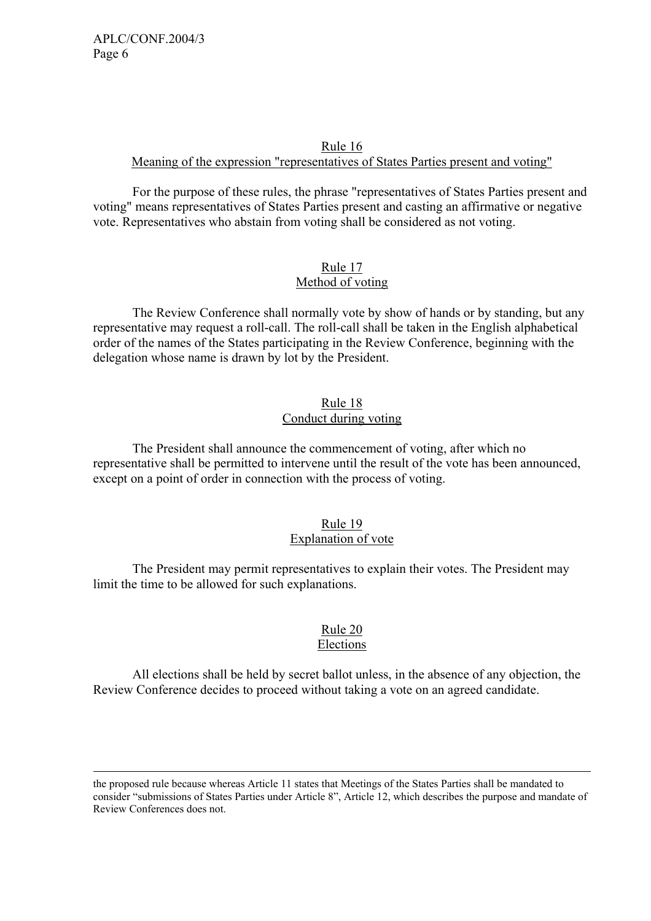APLC/CONF.2004/3 Page 6

#### Rule 16 Meaning of the expression "representatives of States Parties present and voting"

For the purpose of these rules, the phrase "representatives of States Parties present and voting" means representatives of States Parties present and casting an affirmative or negative vote. Representatives who abstain from voting shall be considered as not voting.

#### Rule 17 Method of voting

The Review Conference shall normally vote by show of hands or by standing, but any representative may request a roll-call. The roll-call shall be taken in the English alphabetical order of the names of the States participating in the Review Conference, beginning with the delegation whose name is drawn by lot by the President.

#### Rule 18 Conduct during voting

The President shall announce the commencement of voting, after which no representative shall be permitted to intervene until the result of the vote has been announced, except on a point of order in connection with the process of voting.

#### Rule 19 Explanation of vote

The President may permit representatives to explain their votes. The President may limit the time to be allowed for such explanations.

#### Rule 20 Elections

All elections shall be held by secret ballot unless, in the absence of any objection, the Review Conference decides to proceed without taking a vote on an agreed candidate.

the proposed rule because whereas Article 11 states that Meetings of the States Parties shall be mandated to consider "submissions of States Parties under Article 8", Article 12, which describes the purpose and mandate of Review Conferences does not.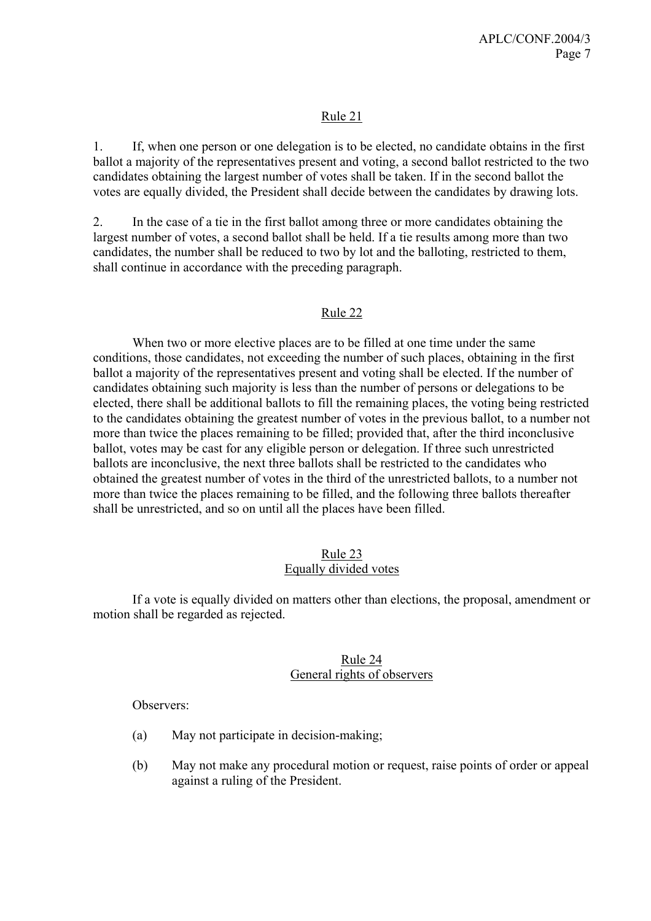### Rule 21

1. If, when one person or one delegation is to be elected, no candidate obtains in the first ballot a majority of the representatives present and voting, a second ballot restricted to the two candidates obtaining the largest number of votes shall be taken. If in the second ballot the votes are equally divided, the President shall decide between the candidates by drawing lots.

2. In the case of a tie in the first ballot among three or more candidates obtaining the largest number of votes, a second ballot shall be held. If a tie results among more than two candidates, the number shall be reduced to two by lot and the balloting, restricted to them, shall continue in accordance with the preceding paragraph.

#### Rule 22

When two or more elective places are to be filled at one time under the same conditions, those candidates, not exceeding the number of such places, obtaining in the first ballot a majority of the representatives present and voting shall be elected. If the number of candidates obtaining such majority is less than the number of persons or delegations to be elected, there shall be additional ballots to fill the remaining places, the voting being restricted to the candidates obtaining the greatest number of votes in the previous ballot, to a number not more than twice the places remaining to be filled; provided that, after the third inconclusive ballot, votes may be cast for any eligible person or delegation. If three such unrestricted ballots are inconclusive, the next three ballots shall be restricted to the candidates who obtained the greatest number of votes in the third of the unrestricted ballots, to a number not more than twice the places remaining to be filled, and the following three ballots thereafter shall be unrestricted, and so on until all the places have been filled.

#### Rule 23 Equally divided votes

If a vote is equally divided on matters other than elections, the proposal, amendment or motion shall be regarded as rejected.

#### Rule 24 General rights of observers

Observers:

- (a) May not participate in decision-making;
- (b) May not make any procedural motion or request, raise points of order or appeal against a ruling of the President.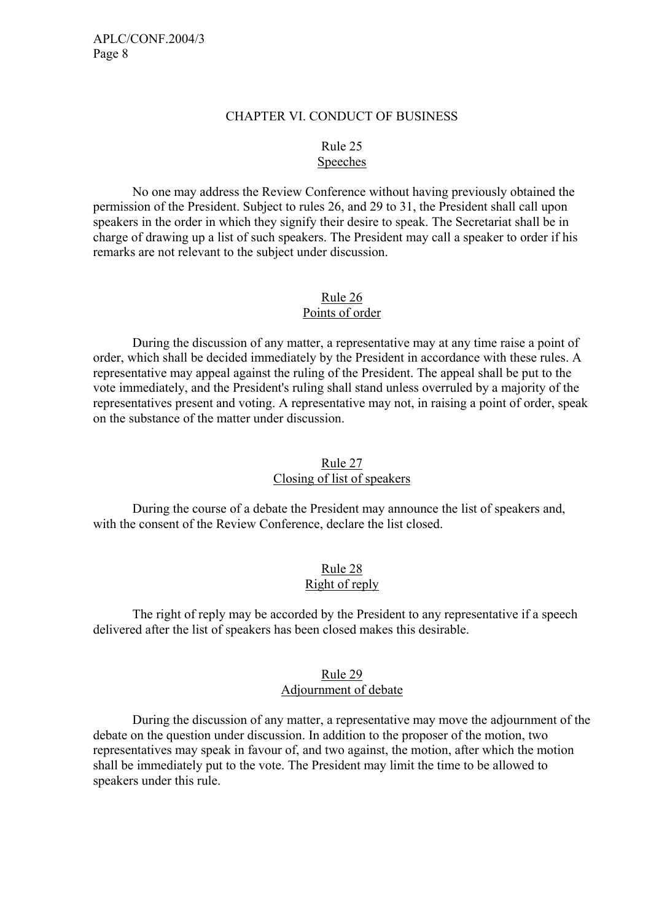#### CHAPTER VI. CONDUCT OF BUSINESS

#### Rule 25 Speeches

 No one may address the Review Conference without having previously obtained the permission of the President. Subject to rules 26, and 29 to 31, the President shall call upon speakers in the order in which they signify their desire to speak. The Secretariat shall be in charge of drawing up a list of such speakers. The President may call a speaker to order if his remarks are not relevant to the subject under discussion.

# Rule 26

## Points of order

During the discussion of any matter, a representative may at any time raise a point of order, which shall be decided immediately by the President in accordance with these rules. A representative may appeal against the ruling of the President. The appeal shall be put to the vote immediately, and the President's ruling shall stand unless overruled by a majority of the representatives present and voting. A representative may not, in raising a point of order, speak on the substance of the matter under discussion.

#### Rule 27 Closing of list of speakers

During the course of a debate the President may announce the list of speakers and, with the consent of the Review Conference, declare the list closed.

#### Rule 28 Right of reply

The right of reply may be accorded by the President to any representative if a speech delivered after the list of speakers has been closed makes this desirable.

#### Rule 29 Adjournment of debate

During the discussion of any matter, a representative may move the adjournment of the debate on the question under discussion. In addition to the proposer of the motion, two representatives may speak in favour of, and two against, the motion, after which the motion shall be immediately put to the vote. The President may limit the time to be allowed to speakers under this rule.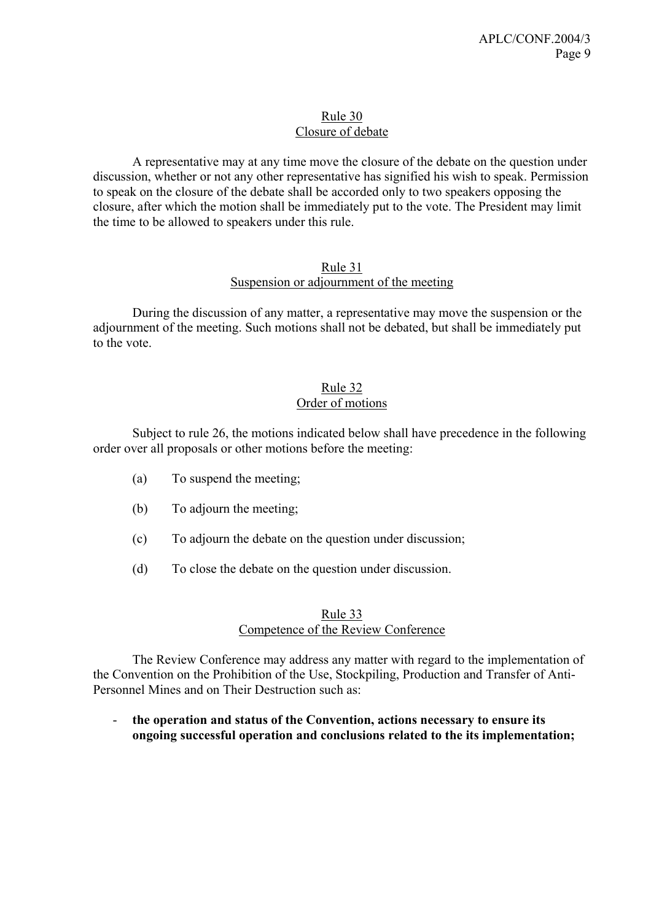## Rule 30 Closure of debate

A representative may at any time move the closure of the debate on the question under discussion, whether or not any other representative has signified his wish to speak. Permission to speak on the closure of the debate shall be accorded only to two speakers opposing the closure, after which the motion shall be immediately put to the vote. The President may limit the time to be allowed to speakers under this rule.

#### Rule 31 Suspension or adjournment of the meeting

During the discussion of any matter, a representative may move the suspension or the adjournment of the meeting. Such motions shall not be debated, but shall be immediately put to the vote.

# Rule 32

## Order of motions

Subject to rule 26, the motions indicated below shall have precedence in the following order over all proposals or other motions before the meeting:

- (a) To suspend the meeting;
- (b) To adjourn the meeting;
- (c) To adjourn the debate on the question under discussion;
- (d) To close the debate on the question under discussion.

# Rule 33 Competence of the Review Conference

 The Review Conference may address any matter with regard to the implementation of the Convention on the Prohibition of the Use, Stockpiling, Production and Transfer of Anti-Personnel Mines and on Their Destruction such as:

- **the operation and status of the Convention, actions necessary to ensure its ongoing successful operation and conclusions related to the its implementation;**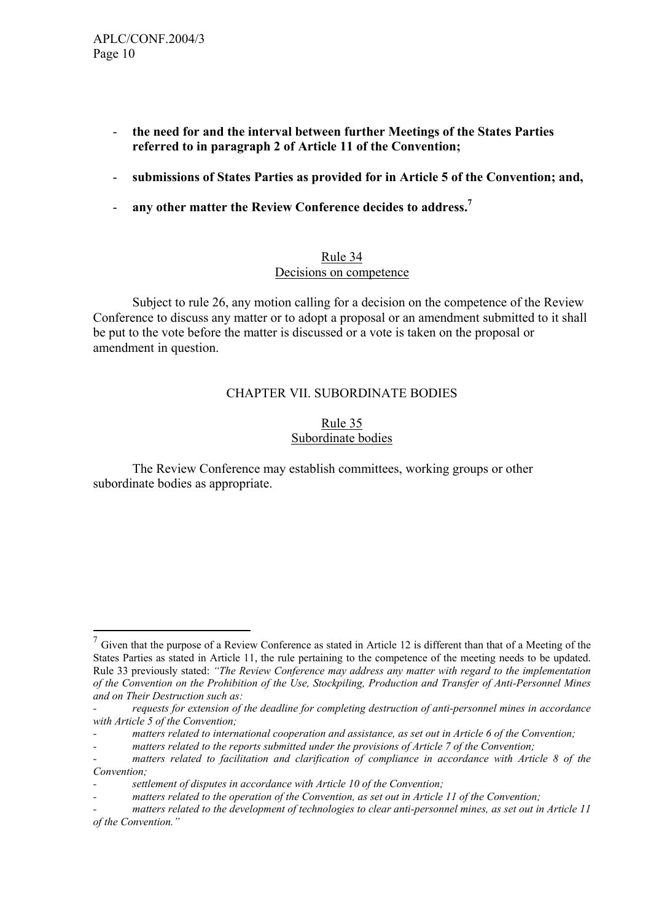$\overline{a}$ 

- **the need for and the interval between further Meetings of the States Parties referred to in paragraph 2 of Article 11 of the Convention;**
- submissions of States Parties as provided for in Article 5 of the Convention; and,
- any other matter the Review Conference decides to address.<sup>7</sup>

#### Rule 34 Decisions on competence

Subject to rule 26, any motion calling for a decision on the competence of the Review Conference to discuss any matter or to adopt a proposal or an amendment submitted to it shall be put to the vote before the matter is discussed or a vote is taken on the proposal or amendment in question.

#### CHAPTER VII. SUBORDINATE BODIES

#### Rule 35 Subordinate bodies

The Review Conference may establish committees, working groups or other subordinate bodies as appropriate.

 $<sup>7</sup>$  Given that the purpose of a Review Conference as stated in Article 12 is different than that of a Meeting of the</sup> States Parties as stated in Article 11, the rule pertaining to the competence of the meeting needs to be updated. Rule 33 previously stated: *"The Review Conference may address any matter with regard to the implementation of the Convention on the Prohibition of the Use, Stockpiling, Production and Transfer of Anti-Personnel Mines and on Their Destruction such as:* 

*<sup>-</sup> requests for extension of the deadline for completing destruction of anti-personnel mines in accordance with Article 5 of the Convention;* 

*<sup>-</sup> matters related to international cooperation and assistance, as set out in Article 6 of the Convention;* 

*<sup>-</sup> matters related to the reports submitted under the provisions of Article 7 of the Convention;* 

matters related to facilitation and clarification of compliance in accordance with Article 8 of the *Convention;* 

*<sup>-</sup> settlement of disputes in accordance with Article 10 of the Convention;* 

*<sup>-</sup> matters related to the operation of the Convention, as set out in Article 11 of the Convention;* 

*<sup>-</sup> matters related to the development of technologies to clear anti-personnel mines, as set out in Article 11 of the Convention."*